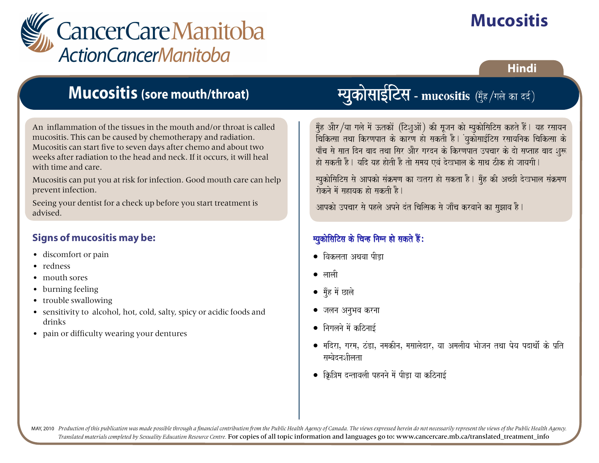

# **Mucositis**

#### **Hindi**

### **Mucositis (sore mouth/throat)**

An inflammation of the tissues in the mouth and/or throat is called mucositis. This can be caused by chemotherapy and radiation. Mucositis can start five to seven days after chemo and about two weeks after radiation to the head and neck. If it occurs, it will heal with time and care.

Mucositis can put you at risk for infection. Good mouth care can help prevent infection.

Seeing your dentist for a check up before you start treatment is advised.

#### **Signs of mucositis may be:**

- discomfort or pain
- redness
- mouth sores
- burning feeling
- trouble swallowing
- sensitivity to alcohol, hot, cold, salty, spicy or acidic foods and drinks
- pain or difficulty wearing your dentures

### **म्यकोसाईटिस - mucositis** (मँह/गले व **म्युकोसाईटिस - mucositis** (मुँह/गले र

मुँह और/या गले में ऊतकों (टिशुओं) की सूजन को म्युकोसिटिस कहते हैं। यह रसायन उँ<br>विकित्सा तथा किरणपात के कारण हो सकती है। युकोसाईटिस रसायनिक चिकित्सा के .<br>पाँच से सात दिन बाद तथा सिर और गरदन के किरणपात उपचार के दो सप्ताह बाद शुरू hao saktI hO. yaid yah haotI hO tao samaya evaM doKBaala ko saaqa zIk hao jaayagaI. paÐca sao saat idna baad tqaa isar AaOr gardna ko ikrNapat ]pcaar ko dao saPtah baad Sau\$

म्युकोसिटिस से आपको संक्रमण का खतरा हो सकता है। मुँह की अच्छी देखभाल संक्रमण raoknao maoM sahayak hao saktI hO. myaukaoisaiTsa sao Aapkao saMËmaNa ka Ktra hao sakta hO. mauÐh kI AcCI doKBaala saMËmaNa hao saktI hO. yaid yah haotI hO tao samaya evaM doKBaala ko saaqa zIk hao jaayagaI.

आपको उपचार से पहले अपने दंत चित्सिक से जाँच करवाने का सुझाव है। raoknao maoM sahayak hao saktI hO. Aapkao ]pcaar sao phlao Apnao dMt icai%sak sao jaaÐca krvaanao ka sauJaava hO.

#### $\frac{1}{2}$ • ivaklata Aqavaa pID,a म्युकोसिटिस के चिन्ह निम्न हो सकते हैं:

- $\bullet$  विकलता अथवा पीड़ा
- laalaI  $\bullet$  लाली
- mauÐh maoM Calao ● मुँह में छाले
- $\mathcal{I}^{\text{in}}$ ्जलन अनूभव <mark>करना</mark>
- inagalanao maoM kiznaa[- • निगलने में कठिनाई
- $\mathcal{L} = \mathcal{L} = \mathcal{L} = \mathcal{L} = \mathcal{L} = \mathcal{L} = \mathcal{L} = \mathcal{L} = \mathcal{L} = \mathcal{L} = \mathcal{L} = \mathcal{L} = \mathcal{L} = \mathcal{L} = \mathcal{L} = \mathcal{L} = \mathcal{L} = \mathcal{L} = \mathcal{L} = \mathcal{L} = \mathcal{L} = \mathcal{L} = \mathcal{L} = \mathcal{L} = \mathcal{L} = \mathcal{L} = \mathcal{L} = \mathcal{L} = \mathcal{L} = \mathcal{L} = \mathcal{L} = \mathcal$ • मदिरा, गरम, ठंडा, नमकीन, मसालेदार, या अमलीय भोजन तथा पेय पदार्थो के प्रति<br> सम्बेदनशीलता
- iÌi~ma dntavalaI phnanao maoM pID,a yaa kiznaa[- • क्रित्रिम दन्तावली पहनने में पीड़ा या कठिनाई

MAY, 2010 Production of this publication was made possible through a financial contribution from the Public Health Agency of Canada. The views expressed herein do not necessarily represent the views of the Public Health Ag *Translated materials completed by Sexuality Education Resource Centre.* For copies of all topic information and languages go to: www.cancercare.mb.ca/translated\_treatment\_info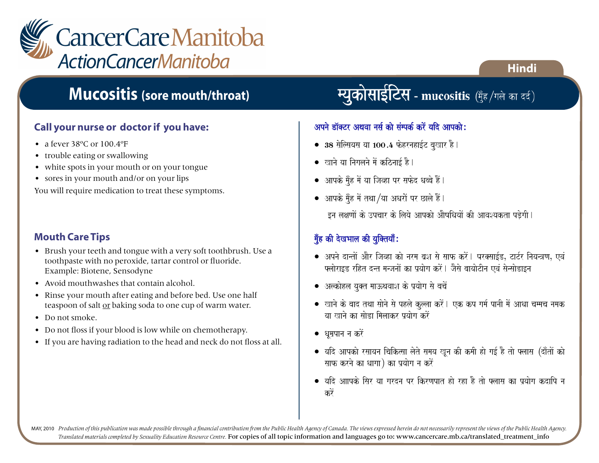

## **Mucositis (sore mouth/throat)**

#### **Call your nurse or doctor if you have:**

- a fever 38°C or 100.4°F
- trouble eating or swallowing
- white spots in your mouth or on your tongue
- sores in your mouth and/or on your lips

You will require medication to treat these symptoms.

#### **Mouth Care Tips**

- Brush your teeth and tongue with a very soft toothbrush. Use a toothpaste with no peroxide, tartar control or fluoride. Example: Biotene, Sensodyne
- Avoid mouthwashes that contain alcohol.
- Rinse your mouth after eating and before bed. Use one half teaspoon of salt or baking soda to one cup of warm water.
- Do not smoke.
- Do not floss if your blood is low while on chemotherapy.
- If you are having radiation to the head and neck do not floss at all.

स्युकोसाईटिस - mucositis (गुँह/गले का दर्द)

**Hindi**

#### अपने डॉक्टर अथवा नर्स को संम्पर्क करें यदि आपको:

- 38 सेल्सियस या 100.4 फेहरनहाईट बुखार है।
- $\bullet$  खाने या निगलने में कठिनाई है।
- $\bullet$  आपके मुँह में या जिव्हा पर सफेद धब्बे हैं।
- $\bullet$  आपके मुँह में तथा /या अधरों पर छाले हैं।

 $\,$  इन लक्षणों के उपचार के लिये आपको औषधियों की आवश्यकता पडेगी l

#### मुँह की देखभाल की युक्तियाँ:

- $\bullet$  अपने दान्तों और जिव्हा को नरम ब्रश से साफ करें। परक्साईड, टार्टर नियन्त्रण, एवं फ्लोराइड रहित दन्त मन्जनों का प्रयोग करें। जैसे बायोटीन एवं सेन्सोडाइन
- $\bullet$  अल्कोहल युक्त माऊथवाश के प्रयोग से बचें
- खाने के बाद तथा सोने से पहले कुल्ला करें। एक कप गर्म पानी में आधा चम्मच नमक या खाने का सोडा मिलाकर पयोग करें
- $\bullet$  धुम्रपान न करें
- $\bullet$  यदि आपको रसायन चिकित्सा लेते समय खून की कमी हो गई है तो फ्लास (दाँतों को साफ करने का धागा) का प्रयोग न करें
- यदि आापके सिर या गरदन पर किरणपात हो रहा है तो फ्लास का प्रयोग कदापि न करें

MAY, 2010 Production of this publication was made possible through a financial contribution from the Public Health Agency of Canada. The views expressed herein do not necessarily represent the views of the Public Health Ag *Translated materials completed by Sexuality Education Resource Centre.* For copies of all topic information and languages go to: www.cancercare.mb.ca/translated\_treatment\_info